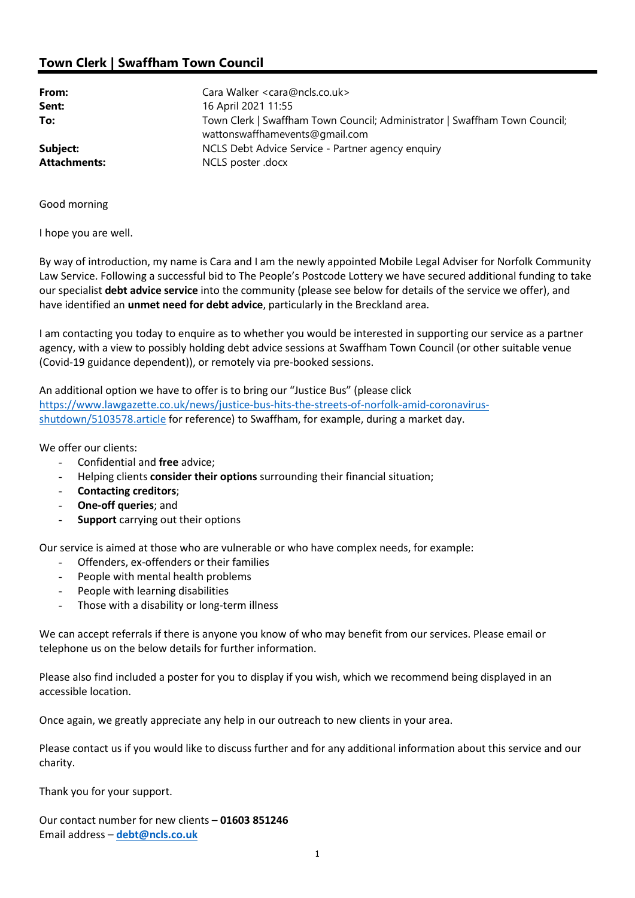## Town Clerk | Swaffham Town Council

| From:<br>Sent:      | Cara Walker <cara@ncls.co.uk><br/>16 April 2021 11:55</cara@ncls.co.uk>             |
|---------------------|-------------------------------------------------------------------------------------|
| To:                 | Town Clerk   Swaffham Town Council; Administrator   Swaffham Town Council;          |
| Subject:            | wattonswaffhamevents@gmail.com<br>NCLS Debt Advice Service - Partner agency enquiry |
| <b>Attachments:</b> | NCLS poster .docx                                                                   |

Good morning

I hope you are well.

By way of introduction, my name is Cara and I am the newly appointed Mobile Legal Adviser for Norfolk Community Law Service. Following a successful bid to The People's Postcode Lottery we have secured additional funding to take our specialist debt advice service into the community (please see below for details of the service we offer), and have identified an unmet need for debt advice, particularly in the Breckland area.

I am contacting you today to enquire as to whether you would be interested in supporting our service as a partner agency, with a view to possibly holding debt advice sessions at Swaffham Town Council (or other suitable venue (Covid-19 guidance dependent)), or remotely via pre-booked sessions.

An additional option we have to offer is to bring our "Justice Bus" (please click https://www.lawgazette.co.uk/news/justice-bus-hits-the-streets-of-norfolk-amid-coronavirusshutdown/5103578.article for reference) to Swaffham, for example, during a market day.

We offer our clients:

- Confidential and free advice:
- Helping clients consider their options surrounding their financial situation;
- Contacting creditors;
- **One-off queries**; and
- Support carrying out their options

Our service is aimed at those who are vulnerable or who have complex needs, for example:

- Offenders, ex-offenders or their families
- People with mental health problems
- People with learning disabilities
- Those with a disability or long-term illness

We can accept referrals if there is anyone you know of who may benefit from our services. Please email or telephone us on the below details for further information.

Please also find included a poster for you to display if you wish, which we recommend being displayed in an accessible location.

Once again, we greatly appreciate any help in our outreach to new clients in your area.

Please contact us if you would like to discuss further and for any additional information about this service and our charity.

Thank you for your support.

Our contact number for new clients – 01603 851246 Email address – debt@ncls.co.uk